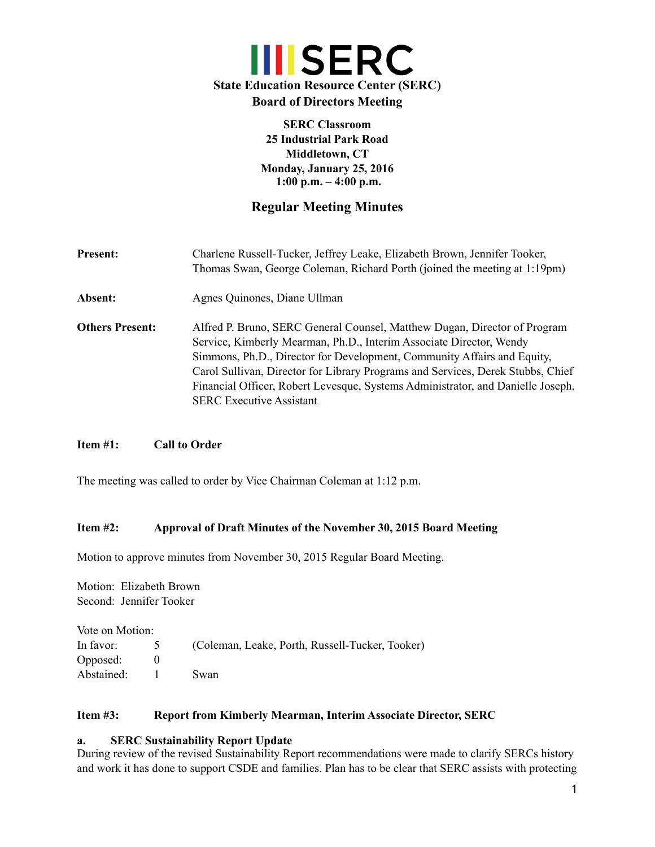

**SERC Classroom 25 Industrial Park Road Middletown, CT Monday, January 25, 2016 1:00 p.m. – 4:00 p.m.**

# **Regular Meeting Minutes**

| <b>Present:</b>        | Charlene Russell-Tucker, Jeffrey Leake, Elizabeth Brown, Jennifer Tooker,<br>Thomas Swan, George Coleman, Richard Porth (joined the meeting at 1:19pm)                                                                                                                                                                                                                                                                               |  |
|------------------------|--------------------------------------------------------------------------------------------------------------------------------------------------------------------------------------------------------------------------------------------------------------------------------------------------------------------------------------------------------------------------------------------------------------------------------------|--|
| Absent:                | Agnes Quinones, Diane Ullman                                                                                                                                                                                                                                                                                                                                                                                                         |  |
| <b>Others Present:</b> | Alfred P. Bruno, SERC General Counsel, Matthew Dugan, Director of Program<br>Service, Kimberly Mearman, Ph.D., Interim Associate Director, Wendy<br>Simmons, Ph.D., Director for Development, Community Affairs and Equity,<br>Carol Sullivan, Director for Library Programs and Services, Derek Stubbs, Chief<br>Financial Officer, Robert Levesque, Systems Administrator, and Danielle Joseph,<br><b>SERC Executive Assistant</b> |  |

# **Item #1: Call to Order**

The meeting was called to order by Vice Chairman Coleman at 1:12 p.m.

### **Item #2: Approval of Draft Minutes of the November 30, 2015 Board Meeting**

Motion to approve minutes from November 30, 2015 Regular Board Meeting.

Motion: Elizabeth Brown Second: Jennifer Tooker

| Vote on Motion: |                                                 |
|-----------------|-------------------------------------------------|
| In favor: 5     | (Coleman, Leake, Porth, Russell-Tucker, Tooker) |
| Opposed:        |                                                 |
| Abstained:      | Swan                                            |

### **Item #3: Report from Kimberly Mearman, Interim Associate Director, SERC**

### **a. SERC Sustainability Report Update**

During review of the revised Sustainability Report recommendations were made to clarify SERCs history and work it has done to support CSDE and families. Plan has to be clear that SERC assists with protecting